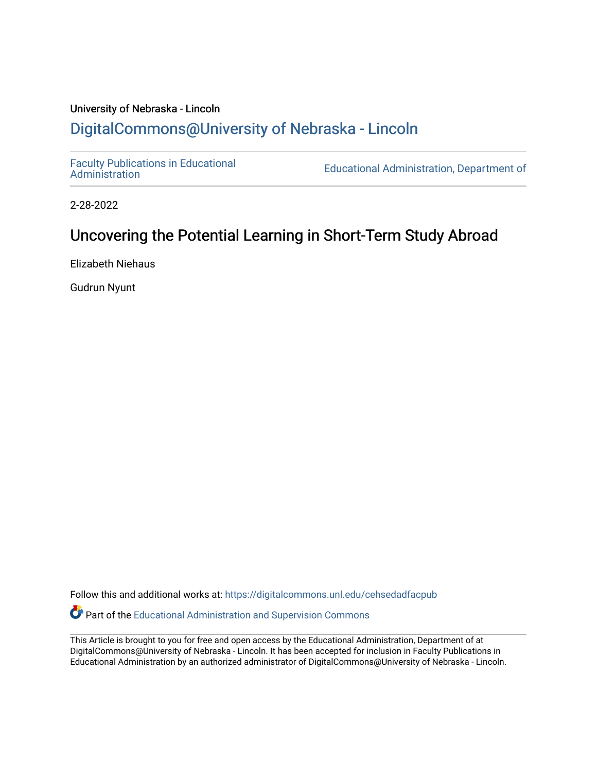## University of Nebraska - Lincoln [DigitalCommons@University of Nebraska - Lincoln](https://digitalcommons.unl.edu/)

[Faculty Publications in Educational](https://digitalcommons.unl.edu/cehsedadfacpub) 

**Educational Administration, Department of** 

2-28-2022

# Uncovering the Potential Learning in Short-Term Study Abroad

Elizabeth Niehaus

Gudrun Nyunt

Follow this and additional works at: [https://digitalcommons.unl.edu/cehsedadfacpub](https://digitalcommons.unl.edu/cehsedadfacpub?utm_source=digitalcommons.unl.edu%2Fcehsedadfacpub%2F152&utm_medium=PDF&utm_campaign=PDFCoverPages) 

**P** Part of the [Educational Administration and Supervision Commons](http://network.bepress.com/hgg/discipline/787?utm_source=digitalcommons.unl.edu%2Fcehsedadfacpub%2F152&utm_medium=PDF&utm_campaign=PDFCoverPages)

This Article is brought to you for free and open access by the Educational Administration, Department of at DigitalCommons@University of Nebraska - Lincoln. It has been accepted for inclusion in Faculty Publications in Educational Administration by an authorized administrator of DigitalCommons@University of Nebraska - Lincoln.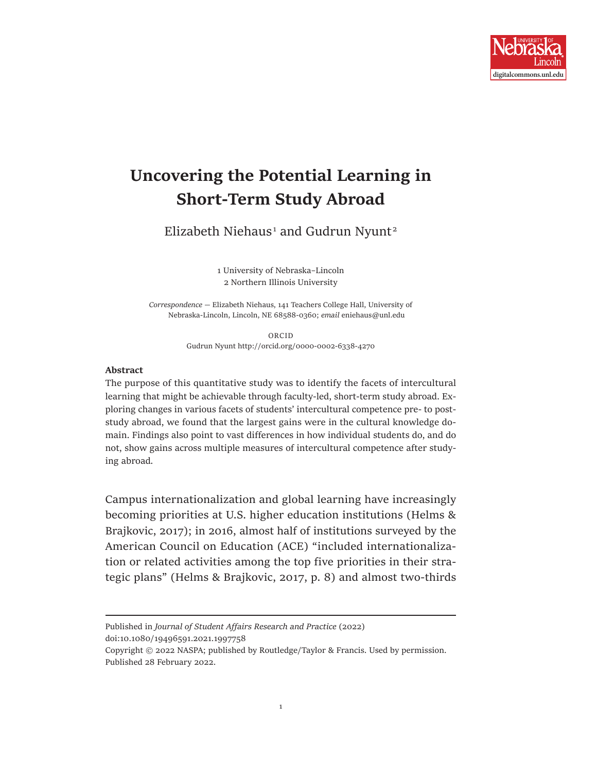

# **Uncovering the Potential Learning in Short-Term Study Abroad**

Elizabeth Niehaus<sup>1</sup> and Gudrun Nyunt<sup>2</sup>

1 University of Nebraska–Lincoln 2 Northern Illinois University

*Correspondence —* Elizabeth Niehaus, 141 Teachers College Hall, University of Nebraska-Lincoln, Lincoln, NE 68588-0360; *email* eniehaus@unl.edu

> ORCID Gudrun Nyunt http://orcid.org/0000-0002-6338-4270

#### **Abstract**

The purpose of this quantitative study was to identify the facets of intercultural learning that might be achievable through faculty-led, short-term study abroad. Exploring changes in various facets of students' intercultural competence pre- to poststudy abroad, we found that the largest gains were in the cultural knowledge domain. Findings also point to vast differences in how individual students do, and do not, show gains across multiple measures of intercultural competence after studying abroad*.* 

Campus internationalization and global learning have increasingly becoming priorities at U.S. higher education institutions (Helms & Brajkovic, 2017); in 2016, almost half of institutions surveyed by the American Council on Education (ACE) "included internationalization or related activities among the top five priorities in their strategic plans" (Helms & Brajkovic, 2017, p. 8) and almost two-thirds

Published in *Journal of Student Affairs Research and Practice* (2022)

doi:10.1080/19496591.2021.1997758

Copyright © 2022 NASPA; published by Routledge/Taylor & Francis. Used by permission. Published 28 February 2022.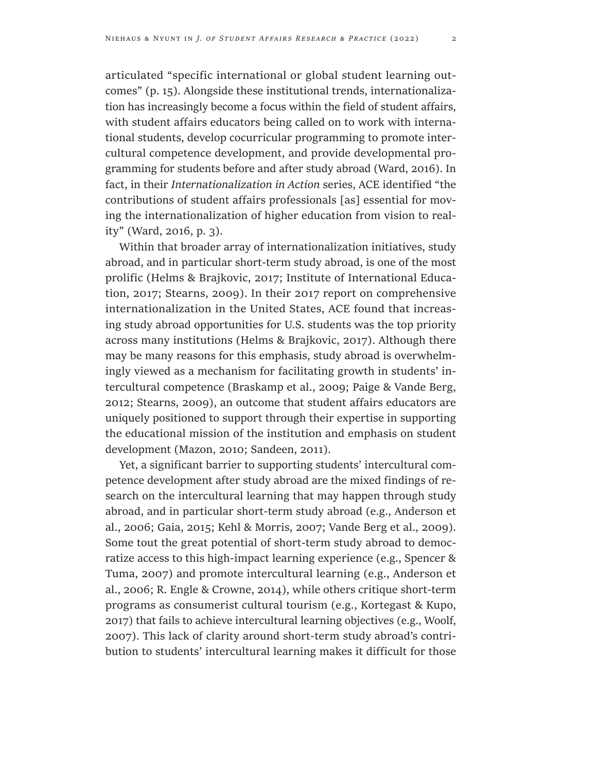articulated "specific international or global student learning outcomes" (p. 15). Alongside these institutional trends, internationalization has increasingly become a focus within the field of student affairs, with student affairs educators being called on to work with international students, develop cocurricular programming to promote intercultural competence development, and provide developmental programming for students before and after study abroad (Ward, 2016). In fact, in their *Internationalization in Action* series, ACE identified "the contributions of student affairs professionals [as] essential for moving the internationalization of higher education from vision to reality" (Ward, 2016, p. 3).

Within that broader array of internationalization initiatives, study abroad, and in particular short-term study abroad, is one of the most prolific (Helms & Brajkovic, 2017; Institute of International Education, 2017; Stearns, 2009). In their 2017 report on comprehensive internationalization in the United States, ACE found that increasing study abroad opportunities for U.S. students was the top priority across many institutions (Helms & Brajkovic, 2017). Although there may be many reasons for this emphasis, study abroad is overwhelmingly viewed as a mechanism for facilitating growth in students' intercultural competence (Braskamp et al., 2009; Paige & Vande Berg, 2012; Stearns, 2009), an outcome that student affairs educators are uniquely positioned to support through their expertise in supporting the educational mission of the institution and emphasis on student development (Mazon, 2010; Sandeen, 2011).

Yet, a significant barrier to supporting students' intercultural competence development after study abroad are the mixed findings of research on the intercultural learning that may happen through study abroad, and in particular short-term study abroad (e.g., Anderson et al., 2006; Gaia, 2015; Kehl & Morris, 2007; Vande Berg et al., 2009). Some tout the great potential of short-term study abroad to democratize access to this high-impact learning experience (e.g., Spencer & Tuma, 2007) and promote intercultural learning (e.g., Anderson et al., 2006; R. Engle & Crowne, 2014), while others critique short-term programs as consumerist cultural tourism (e.g., Kortegast & Kupo, 2017) that fails to achieve intercultural learning objectives (e.g., Woolf, 2007). This lack of clarity around short-term study abroad's contribution to students' intercultural learning makes it difficult for those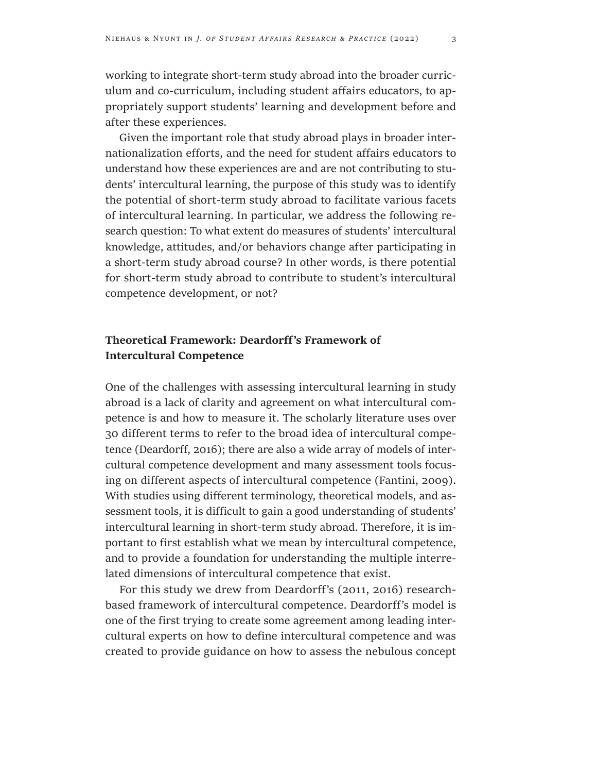working to integrate short-term study abroad into the broader curriculum and co-curriculum, including student affairs educators, to appropriately support students' learning and development before and after these experiences.

Given the important role that study abroad plays in broader internationalization efforts, and the need for student affairs educators to understand how these experiences are and are not contributing to students' intercultural learning, the purpose of this study was to identify the potential of short-term study abroad to facilitate various facets of intercultural learning. In particular, we address the following research question: To what extent do measures of students' intercultural knowledge, attitudes, and/or behaviors change after participating in a short-term study abroad course? In other words, is there potential for short-term study abroad to contribute to student's intercultural competence development, or not?

## **Theoretical Framework: Deardorff's Framework of Intercultural Competence**

One of the challenges with assessing intercultural learning in study abroad is a lack of clarity and agreement on what intercultural competence is and how to measure it. The scholarly literature uses over 30 different terms to refer to the broad idea of intercultural competence (Deardorff, 2016); there are also a wide array of models of intercultural competence development and many assessment tools focusing on different aspects of intercultural competence (Fantini, 2009). With studies using different terminology, theoretical models, and assessment tools, it is difficult to gain a good understanding of students' intercultural learning in short-term study abroad. Therefore, it is important to first establish what we mean by intercultural competence, and to provide a foundation for understanding the multiple interrelated dimensions of intercultural competence that exist.

For this study we drew from Deardorff's (2011, 2016) researchbased framework of intercultural competence. Deardorff's model is one of the first trying to create some agreement among leading intercultural experts on how to define intercultural competence and was created to provide guidance on how to assess the nebulous concept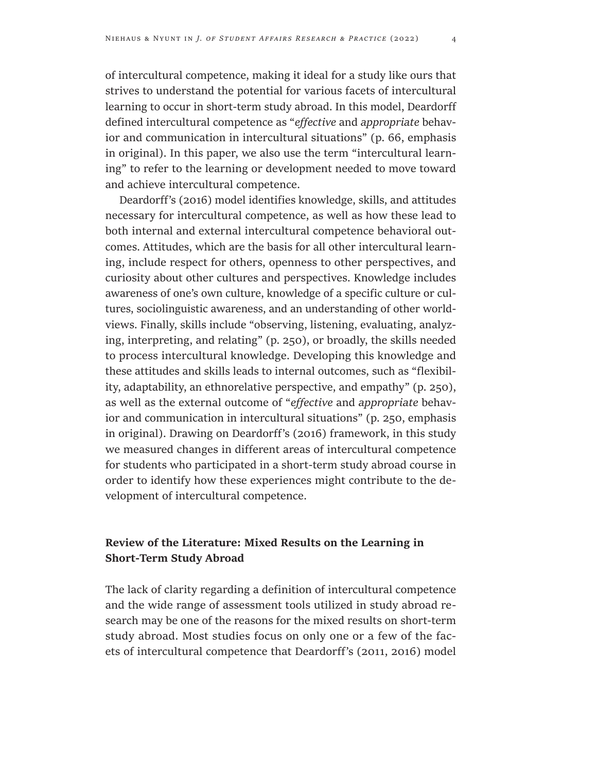of intercultural competence, making it ideal for a study like ours that strives to understand the potential for various facets of intercultural learning to occur in short-term study abroad. In this model, Deardorff defined intercultural competence as "*effective* and *appropriate* behavior and communication in intercultural situations" (p. 66, emphasis in original). In this paper, we also use the term "intercultural learning" to refer to the learning or development needed to move toward and achieve intercultural competence.

Deardorff's (2016) model identifies knowledge, skills, and attitudes necessary for intercultural competence, as well as how these lead to both internal and external intercultural competence behavioral outcomes. Attitudes, which are the basis for all other intercultural learning, include respect for others, openness to other perspectives, and curiosity about other cultures and perspectives. Knowledge includes awareness of one's own culture, knowledge of a specific culture or cultures, sociolinguistic awareness, and an understanding of other worldviews. Finally, skills include "observing, listening, evaluating, analyzing, interpreting, and relating" (p. 250), or broadly, the skills needed to process intercultural knowledge. Developing this knowledge and these attitudes and skills leads to internal outcomes, such as "flexibility, adaptability, an ethnorelative perspective, and empathy" (p. 250), as well as the external outcome of "*effective* and *appropriate* behavior and communication in intercultural situations" (p. 250, emphasis in original). Drawing on Deardorff's (2016) framework, in this study we measured changes in different areas of intercultural competence for students who participated in a short-term study abroad course in order to identify how these experiences might contribute to the development of intercultural competence.

### **Review of the Literature: Mixed Results on the Learning in Short-Term Study Abroad**

The lack of clarity regarding a definition of intercultural competence and the wide range of assessment tools utilized in study abroad research may be one of the reasons for the mixed results on short-term study abroad. Most studies focus on only one or a few of the facets of intercultural competence that Deardorff's (2011, 2016) model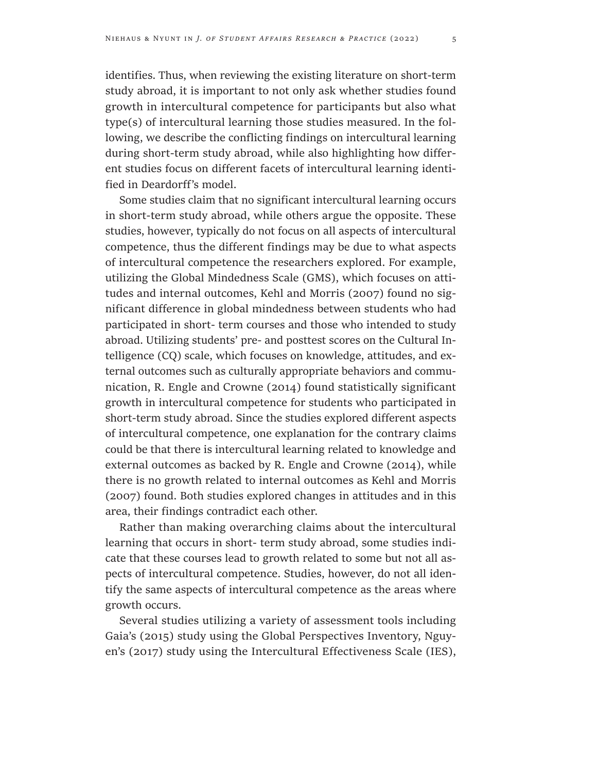identifies. Thus, when reviewing the existing literature on short-term study abroad, it is important to not only ask whether studies found growth in intercultural competence for participants but also what type(s) of intercultural learning those studies measured. In the following, we describe the conflicting findings on intercultural learning during short-term study abroad, while also highlighting how different studies focus on different facets of intercultural learning identified in Deardorff's model.

Some studies claim that no significant intercultural learning occurs in short-term study abroad, while others argue the opposite. These studies, however, typically do not focus on all aspects of intercultural competence, thus the different findings may be due to what aspects of intercultural competence the researchers explored. For example, utilizing the Global Mindedness Scale (GMS), which focuses on attitudes and internal outcomes, Kehl and Morris (2007) found no significant difference in global mindedness between students who had participated in short- term courses and those who intended to study abroad. Utilizing students' pre- and posttest scores on the Cultural Intelligence (CQ) scale, which focuses on knowledge, attitudes, and external outcomes such as culturally appropriate behaviors and communication, R. Engle and Crowne (2014) found statistically significant growth in intercultural competence for students who participated in short-term study abroad. Since the studies explored different aspects of intercultural competence, one explanation for the contrary claims could be that there is intercultural learning related to knowledge and external outcomes as backed by R. Engle and Crowne (2014), while there is no growth related to internal outcomes as Kehl and Morris (2007) found. Both studies explored changes in attitudes and in this area, their findings contradict each other.

Rather than making overarching claims about the intercultural learning that occurs in short- term study abroad, some studies indicate that these courses lead to growth related to some but not all aspects of intercultural competence. Studies, however, do not all identify the same aspects of intercultural competence as the areas where growth occurs.

Several studies utilizing a variety of assessment tools including Gaia's (2015) study using the Global Perspectives Inventory, Nguyen's (2017) study using the Intercultural Effectiveness Scale (IES),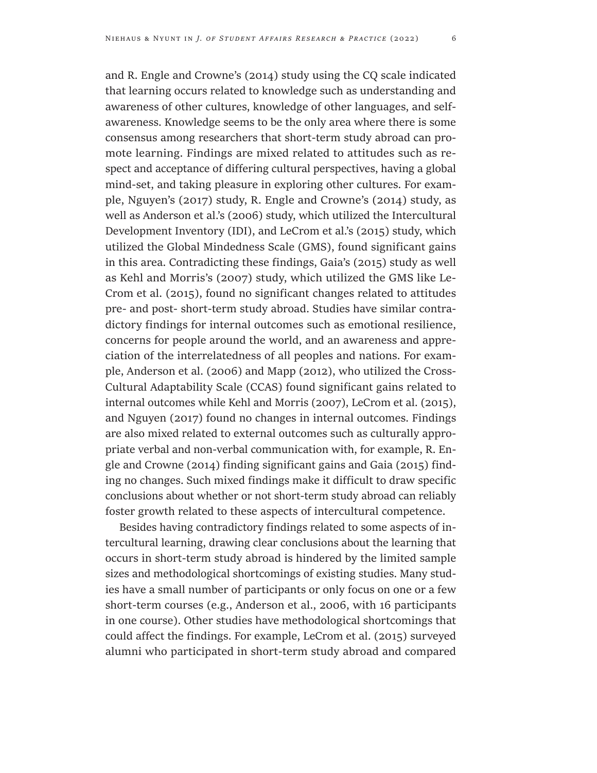and R. Engle and Crowne's (2014) study using the CQ scale indicated that learning occurs related to knowledge such as understanding and awareness of other cultures, knowledge of other languages, and selfawareness. Knowledge seems to be the only area where there is some consensus among researchers that short-term study abroad can promote learning. Findings are mixed related to attitudes such as respect and acceptance of differing cultural perspectives, having a global mind-set, and taking pleasure in exploring other cultures. For example, Nguyen's (2017) study, R. Engle and Crowne's (2014) study, as well as Anderson et al.'s (2006) study, which utilized the Intercultural Development Inventory (IDI), and LeCrom et al.'s (2015) study, which utilized the Global Mindedness Scale (GMS), found significant gains in this area. Contradicting these findings, Gaia's (2015) study as well as Kehl and Morris's (2007) study, which utilized the GMS like Le-Crom et al. (2015), found no significant changes related to attitudes pre- and post- short-term study abroad. Studies have similar contradictory findings for internal outcomes such as emotional resilience, concerns for people around the world, and an awareness and appreciation of the interrelatedness of all peoples and nations. For example, Anderson et al. (2006) and Mapp (2012), who utilized the Cross-Cultural Adaptability Scale (CCAS) found significant gains related to internal outcomes while Kehl and Morris (2007), LeCrom et al. (2015), and Nguyen (2017) found no changes in internal outcomes. Findings are also mixed related to external outcomes such as culturally appropriate verbal and non-verbal communication with, for example, R. Engle and Crowne (2014) finding significant gains and Gaia (2015) finding no changes. Such mixed findings make it difficult to draw specific conclusions about whether or not short-term study abroad can reliably foster growth related to these aspects of intercultural competence.

Besides having contradictory findings related to some aspects of intercultural learning, drawing clear conclusions about the learning that occurs in short-term study abroad is hindered by the limited sample sizes and methodological shortcomings of existing studies. Many studies have a small number of participants or only focus on one or a few short-term courses (e.g., Anderson et al., 2006, with 16 participants in one course). Other studies have methodological shortcomings that could affect the findings. For example, LeCrom et al. (2015) surveyed alumni who participated in short-term study abroad and compared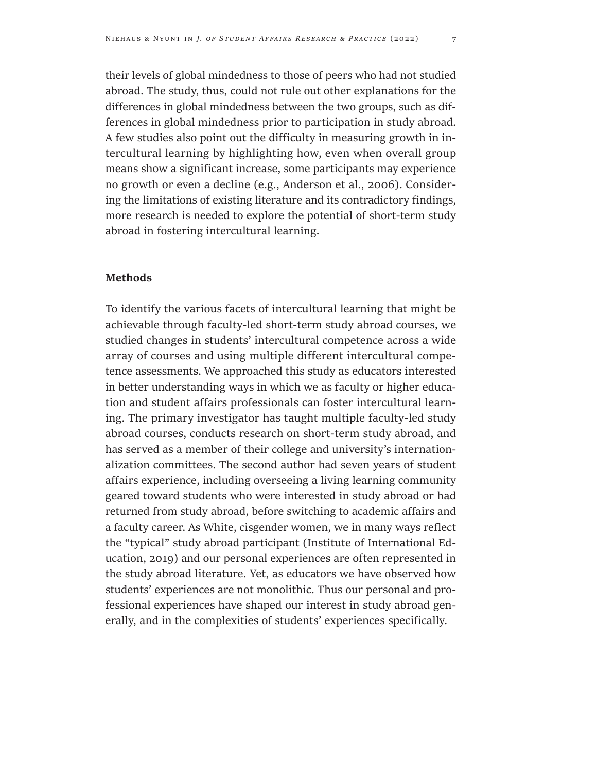abroad in fostering intercultural learning.

their levels of global mindedness to those of peers who had not studied abroad. The study, thus, could not rule out other explanations for the differences in global mindedness between the two groups, such as differences in global mindedness prior to participation in study abroad. A few studies also point out the difficulty in measuring growth in intercultural learning by highlighting how, even when overall group means show a significant increase, some participants may experience no growth or even a decline (e.g., Anderson et al., 2006). Considering the limitations of existing literature and its contradictory findings, more research is needed to explore the potential of short-term study

#### **Methods**

To identify the various facets of intercultural learning that might be achievable through faculty-led short-term study abroad courses, we studied changes in students' intercultural competence across a wide array of courses and using multiple different intercultural competence assessments. We approached this study as educators interested in better understanding ways in which we as faculty or higher education and student affairs professionals can foster intercultural learning. The primary investigator has taught multiple faculty-led study abroad courses, conducts research on short-term study abroad, and has served as a member of their college and university's internationalization committees. The second author had seven years of student affairs experience, including overseeing a living learning community geared toward students who were interested in study abroad or had returned from study abroad, before switching to academic affairs and a faculty career. As White, cisgender women, we in many ways reflect the "typical" study abroad participant (Institute of International Education, 2019) and our personal experiences are often represented in the study abroad literature. Yet, as educators we have observed how students' experiences are not monolithic. Thus our personal and professional experiences have shaped our interest in study abroad generally, and in the complexities of students' experiences specifically.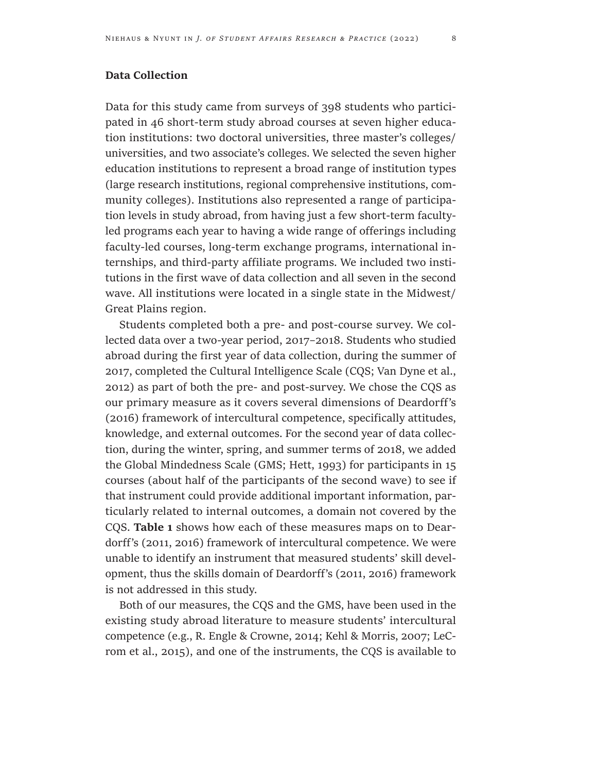#### **Data Collection**

Data for this study came from surveys of 398 students who participated in 46 short-term study abroad courses at seven higher education institutions: two doctoral universities, three master's colleges/ universities, and two associate's colleges. We selected the seven higher education institutions to represent a broad range of institution types (large research institutions, regional comprehensive institutions, community colleges). Institutions also represented a range of participation levels in study abroad, from having just a few short-term facultyled programs each year to having a wide range of offerings including faculty-led courses, long-term exchange programs, international internships, and third-party affiliate programs. We included two institutions in the first wave of data collection and all seven in the second wave. All institutions were located in a single state in the Midwest/ Great Plains region.

Students completed both a pre- and post-course survey. We collected data over a two-year period, 2017–2018. Students who studied abroad during the first year of data collection, during the summer of 2017, completed the Cultural Intelligence Scale (CQS; Van Dyne et al., 2012) as part of both the pre- and post-survey. We chose the CQS as our primary measure as it covers several dimensions of Deardorff's (2016) framework of intercultural competence, specifically attitudes, knowledge, and external outcomes. For the second year of data collection, during the winter, spring, and summer terms of 2018, we added the Global Mindedness Scale (GMS; Hett, 1993) for participants in 15 courses (about half of the participants of the second wave) to see if that instrument could provide additional important information, particularly related to internal outcomes, a domain not covered by the CQS. **Table 1** shows how each of these measures maps on to Deardorff's (2011, 2016) framework of intercultural competence. We were unable to identify an instrument that measured students' skill development, thus the skills domain of Deardorff's (2011, 2016) framework is not addressed in this study.

Both of our measures, the CQS and the GMS, have been used in the existing study abroad literature to measure students' intercultural competence (e.g., R. Engle & Crowne, 2014; Kehl & Morris, 2007; LeCrom et al., 2015), and one of the instruments, the CQS is available to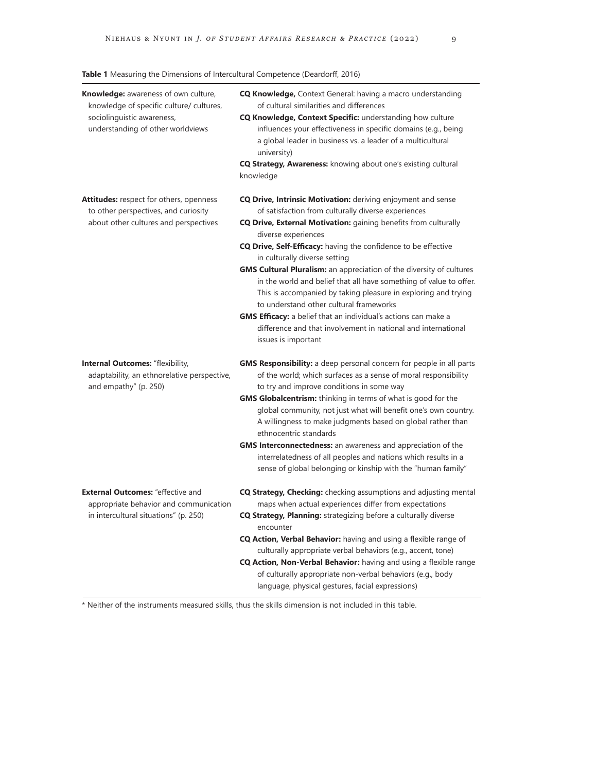| Knowledge: awareness of own culture,<br>knowledge of specific culture/ cultures,                                | CQ Knowledge, Context General: having a macro understanding<br>of cultural similarities and differences                                                                                                                                                                                                                 |
|-----------------------------------------------------------------------------------------------------------------|-------------------------------------------------------------------------------------------------------------------------------------------------------------------------------------------------------------------------------------------------------------------------------------------------------------------------|
| sociolinguistic awareness,<br>understanding of other worldviews                                                 | CQ Knowledge, Context Specific: understanding how culture<br>influences your effectiveness in specific domains (e.g., being<br>a global leader in business vs. a leader of a multicultural<br>university)                                                                                                               |
|                                                                                                                 | CQ Strategy, Awareness: knowing about one's existing cultural<br>knowledge                                                                                                                                                                                                                                              |
| Attitudes: respect for others, openness<br>to other perspectives, and curiosity                                 | CQ Drive, Intrinsic Motivation: deriving enjoyment and sense<br>of satisfaction from culturally diverse experiences                                                                                                                                                                                                     |
| about other cultures and perspectives                                                                           | CQ Drive, External Motivation: gaining benefits from culturally<br>diverse experiences                                                                                                                                                                                                                                  |
|                                                                                                                 | CQ Drive, Self-Efficacy: having the confidence to be effective<br>in culturally diverse setting                                                                                                                                                                                                                         |
|                                                                                                                 | <b>GMS Cultural Pluralism:</b> an appreciation of the diversity of cultures<br>in the world and belief that all have something of value to offer.<br>This is accompanied by taking pleasure in exploring and trying<br>to understand other cultural frameworks                                                          |
|                                                                                                                 | GMS Efficacy: a belief that an individual's actions can make a<br>difference and that involvement in national and international<br>issues is important                                                                                                                                                                  |
| <b>Internal Outcomes: "flexibility,</b><br>adaptability, an ethnorelative perspective,<br>and empathy" (p. 250) | <b>GMS Responsibility:</b> a deep personal concern for people in all parts<br>of the world; which surfaces as a sense of moral responsibility<br>to try and improve conditions in some way                                                                                                                              |
|                                                                                                                 | <b>GMS Globalcentrism:</b> thinking in terms of what is good for the<br>global community, not just what will benefit one's own country.<br>A willingness to make judgments based on global rather than<br>ethnocentric standards                                                                                        |
|                                                                                                                 | <b>GMS Interconnectedness:</b> an awareness and appreciation of the<br>interrelatedness of all peoples and nations which results in a<br>sense of global belonging or kinship with the "human family"                                                                                                                   |
| <b>External Outcomes:</b> "effective and<br>appropriate behavior and communication                              | CQ Strategy, Checking: checking assumptions and adjusting mental<br>maps when actual experiences differ from expectations                                                                                                                                                                                               |
| in intercultural situations" (p. 250)                                                                           | CQ Strategy, Planning: strategizing before a culturally diverse<br>encounter                                                                                                                                                                                                                                            |
|                                                                                                                 | CQ Action, Verbal Behavior: having and using a flexible range of<br>culturally appropriate verbal behaviors (e.g., accent, tone)<br>CQ Action, Non-Verbal Behavior: having and using a flexible range<br>of culturally appropriate non-verbal behaviors (e.g., body<br>language, physical gestures, facial expressions) |

**Table 1** Measuring the Dimensions of Intercultural Competence (Deardorff, 2016)

\* Neither of the instruments measured skills, thus the skills dimension is not included in this table.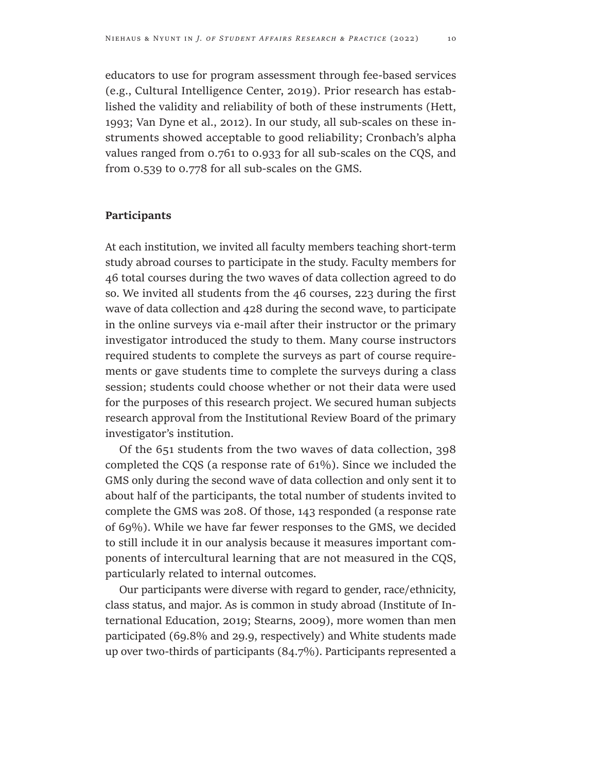educators to use for program assessment through fee-based services (e.g., Cultural Intelligence Center, 2019). Prior research has established the validity and reliability of both of these instruments (Hett, 1993; Van Dyne et al., 2012). In our study, all sub-scales on these instruments showed acceptable to good reliability; Cronbach's alpha values ranged from 0.761 to 0.933 for all sub-scales on the CQS, and from 0.539 to 0.778 for all sub-scales on the GMS.

#### **Participants**

At each institution, we invited all faculty members teaching short-term study abroad courses to participate in the study. Faculty members for 46 total courses during the two waves of data collection agreed to do so. We invited all students from the 46 courses, 223 during the first wave of data collection and 428 during the second wave, to participate in the online surveys via e-mail after their instructor or the primary investigator introduced the study to them. Many course instructors required students to complete the surveys as part of course requirements or gave students time to complete the surveys during a class session; students could choose whether or not their data were used for the purposes of this research project. We secured human subjects research approval from the Institutional Review Board of the primary investigator's institution.

Of the 651 students from the two waves of data collection, 398 completed the CQS (a response rate of 61%). Since we included the GMS only during the second wave of data collection and only sent it to about half of the participants, the total number of students invited to complete the GMS was 208. Of those, 143 responded (a response rate of 69%). While we have far fewer responses to the GMS, we decided to still include it in our analysis because it measures important components of intercultural learning that are not measured in the CQS, particularly related to internal outcomes.

Our participants were diverse with regard to gender, race/ethnicity, class status, and major. As is common in study abroad (Institute of International Education, 2019; Stearns, 2009), more women than men participated (69.8% and 29.9, respectively) and White students made up over two-thirds of participants (84.7%). Participants represented a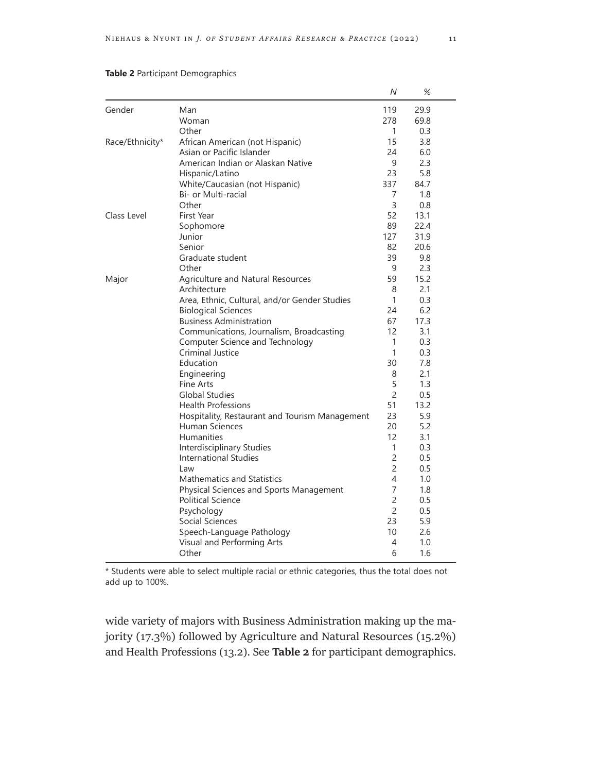|                 |                                                | N              | %    |  |
|-----------------|------------------------------------------------|----------------|------|--|
| Gender          | Man                                            | 119            | 29.9 |  |
|                 | Woman                                          | 278            | 69.8 |  |
|                 | Other                                          | 1              | 0.3  |  |
| Race/Ethnicity* | African American (not Hispanic)                | 15             | 3.8  |  |
|                 | Asian or Pacific Islander                      | 24             | 6.0  |  |
|                 | American Indian or Alaskan Native              | 9              | 2.3  |  |
|                 | Hispanic/Latino                                | 23             | 5.8  |  |
|                 | White/Caucasian (not Hispanic)                 | 337            | 84.7 |  |
|                 | Bi- or Multi-racial                            | 7              | 1.8  |  |
|                 | Other                                          | 3              | 0.8  |  |
| Class Level     | <b>First Year</b>                              | 52             | 13.1 |  |
|                 | Sophomore                                      | 89             | 22.4 |  |
|                 | Junior                                         | 127            | 31.9 |  |
|                 | Senior                                         | 82             | 20.6 |  |
|                 | Graduate student                               | 39             | 9.8  |  |
|                 | Other                                          | 9              | 2.3  |  |
| Major           | <b>Agriculture and Natural Resources</b>       | 59             | 15.2 |  |
|                 | Architecture                                   | 8              | 2.1  |  |
|                 | Area, Ethnic, Cultural, and/or Gender Studies  | 1              | 0.3  |  |
|                 | <b>Biological Sciences</b>                     | 24             | 6.2  |  |
|                 | <b>Business Administration</b>                 | 67             | 17.3 |  |
|                 | Communications, Journalism, Broadcasting       | 12             | 3.1  |  |
|                 | Computer Science and Technology                | 1              | 0.3  |  |
|                 | Criminal Justice                               | 1              | 0.3  |  |
|                 | Education                                      | 30             | 7.8  |  |
|                 | Engineering                                    | 8              | 2.1  |  |
|                 | Fine Arts                                      | 5              | 1.3  |  |
|                 | <b>Global Studies</b>                          | $\overline{c}$ | 0.5  |  |
|                 | <b>Health Professions</b>                      | 51             | 13.2 |  |
|                 | Hospitality, Restaurant and Tourism Management | 23             | 5.9  |  |
|                 | Human Sciences                                 | 20             | 5.2  |  |
|                 | <b>Humanities</b>                              | 12             | 3.1  |  |
|                 | Interdisciplinary Studies                      | 1              | 0.3  |  |
|                 | International Studies                          | 2              | 0.5  |  |
|                 | Law                                            | 2              | 0.5  |  |
|                 | <b>Mathematics and Statistics</b>              | 4              | 1.0  |  |
|                 | Physical Sciences and Sports Management        | 7              | 1.8  |  |
|                 | <b>Political Science</b>                       | 2              | 0.5  |  |
|                 | Psychology                                     | $\overline{c}$ | 0.5  |  |
|                 | Social Sciences                                | 23             | 5.9  |  |
|                 | Speech-Language Pathology                      | 10             | 2.6  |  |
|                 | Visual and Performing Arts                     | 4              | 1.0  |  |
|                 | Other                                          | 6              | 1.6  |  |

#### **Table 2** Participant Demographics

\* Students were able to select multiple racial or ethnic categories, thus the total does not add up to 100%.

wide variety of majors with Business Administration making up the majority (17.3%) followed by Agriculture and Natural Resources (15.2%) and Health Professions (13.2). See **Table 2** for participant demographics.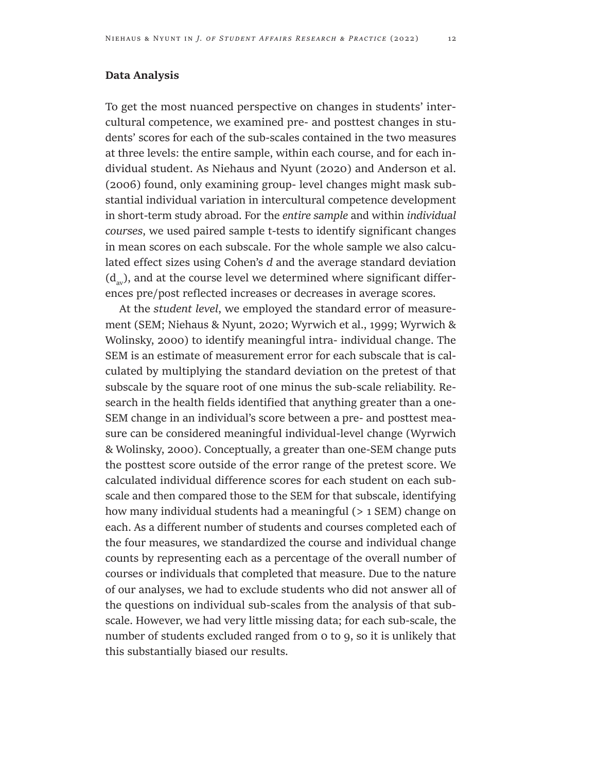#### **Data Analysis**

To get the most nuanced perspective on changes in students' intercultural competence, we examined pre- and posttest changes in students' scores for each of the sub-scales contained in the two measures at three levels: the entire sample, within each course, and for each individual student. As Niehaus and Nyunt (2020) and Anderson et al. (2006) found, only examining group- level changes might mask substantial individual variation in intercultural competence development in short-term study abroad. For the *entire sample* and within *individual courses*, we used paired sample t-tests to identify significant changes in mean scores on each subscale. For the whole sample we also calculated effect sizes using Cohen's *d* and the average standard deviation  $(d_{av})$ , and at the course level we determined where significant differences pre/post reflected increases or decreases in average scores.

At the *student level*, we employed the standard error of measurement (SEM; Niehaus & Nyunt, 2020; Wyrwich et al., 1999; Wyrwich & Wolinsky, 2000) to identify meaningful intra- individual change. The SEM is an estimate of measurement error for each subscale that is calculated by multiplying the standard deviation on the pretest of that subscale by the square root of one minus the sub-scale reliability. Research in the health fields identified that anything greater than a one-SEM change in an individual's score between a pre- and posttest measure can be considered meaningful individual-level change (Wyrwich & Wolinsky, 2000). Conceptually, a greater than one-SEM change puts the posttest score outside of the error range of the pretest score. We calculated individual difference scores for each student on each subscale and then compared those to the SEM for that subscale, identifying how many individual students had a meaningful (> 1 SEM) change on each. As a different number of students and courses completed each of the four measures, we standardized the course and individual change counts by representing each as a percentage of the overall number of courses or individuals that completed that measure. Due to the nature of our analyses, we had to exclude students who did not answer all of the questions on individual sub-scales from the analysis of that subscale. However, we had very little missing data; for each sub-scale, the number of students excluded ranged from 0 to 9, so it is unlikely that this substantially biased our results.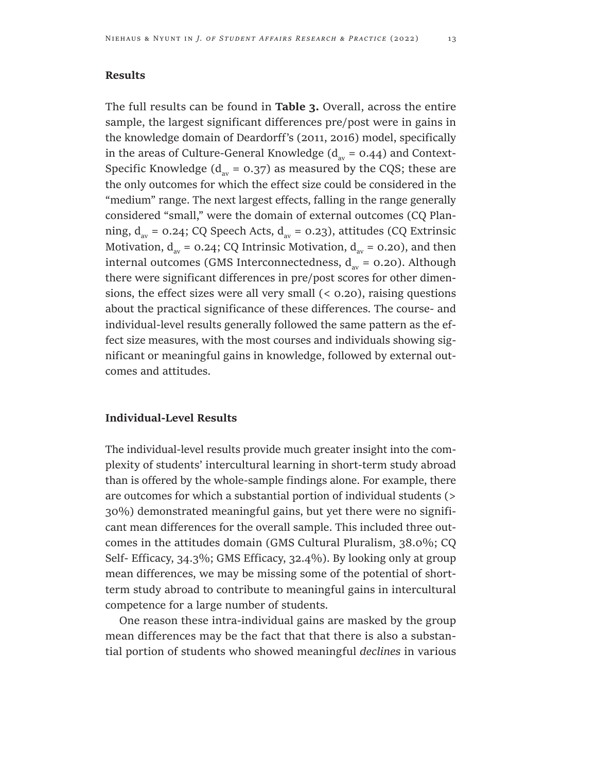#### **Results**

The full results can be found in **Table 3.** Overall, across the entire sample, the largest significant differences pre/post were in gains in the knowledge domain of Deardorff's (2011, 2016) model, specifically in the areas of Culture-General Knowledge ( $d_{av} = 0.44$ ) and Context-Specific Knowledge ( $d_{av}$  = 0.37) as measured by the CQS; these are the only outcomes for which the effect size could be considered in the "medium" range. The next largest effects, falling in the range generally considered "small," were the domain of external outcomes (CQ Planning,  $d_{av}$  = 0.24; CQ Speech Acts,  $d_{av}$  = 0.23), attitudes (CQ Extrinsic Motivation,  $d_{av} = 0.24$ ; CQ Intrinsic Motivation,  $d_{av} = 0.20$ ), and then internal outcomes (GMS Interconnectedness,  $d_{av} = 0.20$ ). Although there were significant differences in pre/post scores for other dimensions, the effect sizes were all very small  $($  <  $0.20$ ), raising questions about the practical significance of these differences. The course- and individual-level results generally followed the same pattern as the effect size measures, with the most courses and individuals showing significant or meaningful gains in knowledge, followed by external outcomes and attitudes.

#### **Individual-Level Results**

The individual-level results provide much greater insight into the complexity of students' intercultural learning in short-term study abroad than is offered by the whole-sample findings alone. For example, there are outcomes for which a substantial portion of individual students (> 30%) demonstrated meaningful gains, but yet there were no significant mean differences for the overall sample. This included three outcomes in the attitudes domain (GMS Cultural Pluralism, 38.0%; CQ Self- Efficacy, 34.3%; GMS Efficacy, 32.4%). By looking only at group mean differences, we may be missing some of the potential of shortterm study abroad to contribute to meaningful gains in intercultural competence for a large number of students.

One reason these intra-individual gains are masked by the group mean differences may be the fact that that there is also a substantial portion of students who showed meaningful *declines* in various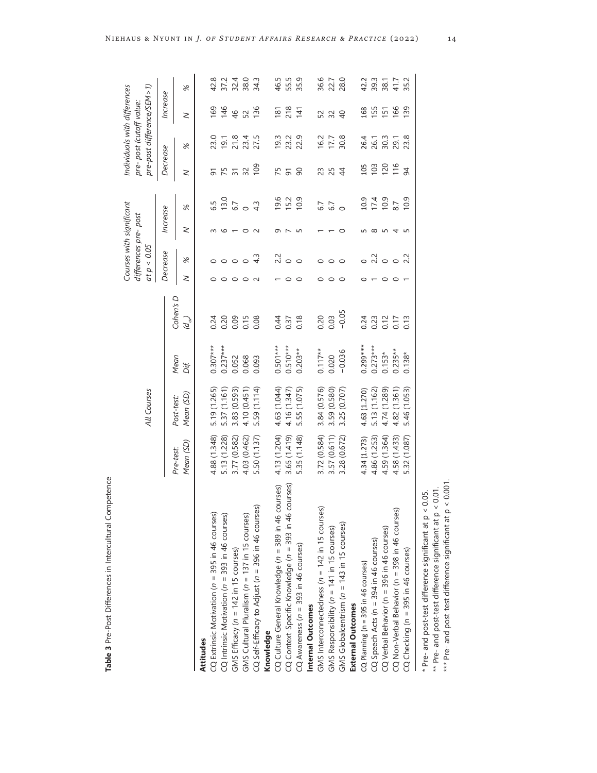| l<br>ļ<br>I<br>i<br>I                                    |
|----------------------------------------------------------|
| ֧֧ׅ֧ׅ֧֚֚֚֚֚֚֚֚֚֚֚֚֚֚֚֚֚֚֚֚֚֚֚֚֡֝֓֡֘֜֝֟֡֡֜֓֡֡֡֬           |
| ؛<br>،<br>I<br>l<br>i<br>!<br>i<br>ı<br>I<br>I<br>ı<br>ı |
|                                                          |

| Mean (SD)<br>Pre-test:<br>Attitudes                                             |                         |             |                                     | at p < 0.05 | Courses with significant<br>differences pre-post |              |            |                | pre-post (cutoff value: | Individuals with differences<br>pre-post difference/SEM>1) |      |
|---------------------------------------------------------------------------------|-------------------------|-------------|-------------------------------------|-------------|--------------------------------------------------|--------------|------------|----------------|-------------------------|------------------------------------------------------------|------|
|                                                                                 |                         |             |                                     | Decrease    |                                                  | Increase     |            | Decrease       |                         | Increase                                                   |      |
|                                                                                 | Mean (SD)<br>Post-test: | Mean<br>Dif | Cohen's D<br>$\mathcal{A}_{\sigma}$ | 2           | $\%$                                             | 2            | $\%$       | 2              | $\%$                    | 2                                                          | $\%$ |
|                                                                                 |                         |             |                                     |             |                                                  |              |            |                |                         |                                                            |      |
| 4.88 (1.348)<br>CQ Extrinsic Motivation (n = 395 in 46 courses)                 | 5.19 (1.265)            | $0.307***$  | 0.24                                |             |                                                  |              | 6.5        |                | 23.0                    | 169                                                        | 42.8 |
| 5.13 (1.228)<br>CQ Intrinsic Motivation (n = 393 in 46 courses)                 | 5.37 (1.161)            | $0.237***$  | 0.20                                | $\circ$     | $\circ$                                          | ဖ            | 13.0       | 75             | 19.1                    | 146                                                        | 37.2 |
| 3.77 (0.582)<br>GMS Efficacy $(n = 142$ in 15 courses)                          | 3.83 (0.593)            | 0.052       | 0.09                                | $\circ$     | $\circ$                                          |              | 6.7        |                | 21.8                    |                                                            | 32.4 |
| 4.03 (0.462)<br>GMS Cultural Pluralism (n = 137 in 15 courses)                  | 4.10 (0.451)            | 0.068       | 0.15                                | $\circ$     | $\circ$                                          | $\circ$      | $\circ$    | 32             | 23.4<br>27.5            | 46<br>52                                                   | 38.0 |
| 5.50 (1.137)<br>CQ Self-Efficacy to Adjust (n = 396 in 46 courses)<br>Knowledge | 5.59 (1.114)            | 0.093       | 0.08                                |             | $\frac{3}{4}$                                    | $\sim$       | 4.3        | 109            |                         | 136                                                        | 34.3 |
|                                                                                 |                         |             |                                     |             |                                                  |              |            |                |                         |                                                            |      |
| 4.13 (1.204)<br>CQ Culture General Knowledge (n = 389 in 46 courses)            | 4.63 (1.044)            | $0.501***$  | 0.44                                |             | 22                                               | ത            | 19.6       | 75             | 19.3                    | $\frac{18}{1}$                                             | 46.5 |
| 3.65 (1.419)<br>courses)<br>CQ Context-Specific Knowledge (n = 393 in 46        | 4.16 (1.347)            | $0.510***$  | 0.37                                |             | $\circ$                                          | $\mathsf{r}$ | 15.2       | $\overline{9}$ | 23.2                    | 218                                                        | 55.5 |
| 5.35 (1.148)<br>CQ Awareness ( $n = 393$ in 46 courses)                         | 5.55 (1.075)            | $0.203**$   | 0.18                                |             | $\circ$                                          | 5            | 10.9       | 90             | 22.9                    | $\overline{141}$                                           | 35.9 |
| Internal Outcomes                                                               |                         |             |                                     |             |                                                  |              |            |                |                         |                                                            |      |
| 3.72 (0.584)<br>GMS Interconnectedness ( $n = 142$ in 15 courses)               | 3.84 (0.576)            | $0.117**$   | 0.20                                |             |                                                  |              |            | 23             | 16.2                    |                                                            | 36.6 |
| 3.57 (0.611)<br>GMS Responsibility (n = 141 in 15 courses)                      | 3.59 (0.580)            | 0.020       | 0.03                                |             |                                                  |              | 5.7<br>5.7 | 25             | 17.7                    | 52<br>32                                                   | 22.7 |
| 3.28 (0.672)<br>GMS Globalcentrism (n = 143 in 15 courses)                      | 3.25 (0.707)            | $-0.036$    | $-0.05$                             |             | $\circ$                                          | ⊂            | $\circ$    | $\overline{4}$ | 30.8                    | $\overline{4}$                                             | 28.0 |
| <b>External Outcomes</b>                                                        |                         |             |                                     |             |                                                  |              |            |                |                         |                                                            |      |
| 4.34 (1.273)<br>CQ Planning (n = 395 in 46 courses)                             | 4.63 (1.270)            | $0.299***$  | 0.24                                |             |                                                  |              | 10.9       | 105            | 26.4                    | 168                                                        | 42.2 |
| 4.86 (1.253)<br>CQ Speech Acts (n = 394 in 46 courses)                          | 5.13 (1.162)            | $0.273***$  | 0.23                                |             | 2.2                                              | $\infty$     | 17.4       | 103            | 26.1                    | 155                                                        | 39.3 |
| 4.59 (1.364)<br>CQ Verbal Behavior (n = 396 in 46 courses)                      | 4.74 (1.289)            | $0.153*$    | 0.12                                | $\circ$     | $\circ$                                          | "            |            | 120            | 30.3                    | 151                                                        | 38.1 |
| 4.58 (1.433)<br>CQ Non-Verbal Behavior (n = 398 in 46 courses)                  | 4.82 (1.361)            | $0.235**$   | 0.17                                |             | $\circ$                                          | 4            | 8.7        | 116            | 29.1                    | 166                                                        | 41.7 |
| .32(1.087)<br>ட்<br>CQ Checking (n = 395 in 46 courses)                         | 5.46 (1.053)            | $0.138*$    | 0.13                                |             |                                                  | S            | 10.9       | $\overline{5}$ | 23.8                    | <b>139</b>                                                 | 35.2 |

\* Pre- and post-test difference significant at p < 0.05.

" Pre- and post-test dimerence significant at p < 0.05.<br>\*\* Pre- and post-test difference significant at p < 0.01.<br>\*\*\* Pre- and post-test difference significant at p < 0.01. \*\* Pre- and post-test difference significant at p < 0.01.

\*\*\* Pre- and post-test difference significant at p < 0.001.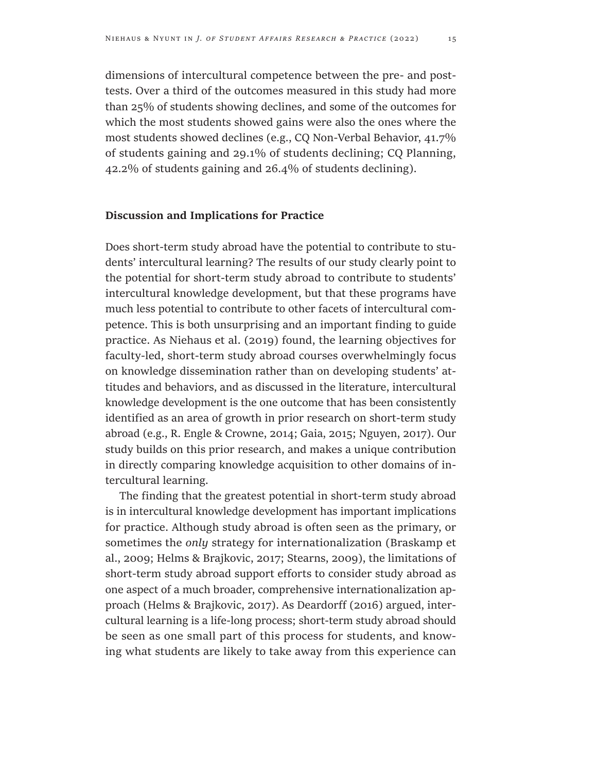dimensions of intercultural competence between the pre- and posttests. Over a third of the outcomes measured in this study had more than 25% of students showing declines, and some of the outcomes for which the most students showed gains were also the ones where the most students showed declines (e.g., CQ Non-Verbal Behavior, 41.7% of students gaining and 29.1% of students declining; CQ Planning, 42.2% of students gaining and 26.4% of students declining).

#### **Discussion and Implications for Practice**

Does short-term study abroad have the potential to contribute to students' intercultural learning? The results of our study clearly point to the potential for short-term study abroad to contribute to students' intercultural knowledge development, but that these programs have much less potential to contribute to other facets of intercultural competence. This is both unsurprising and an important finding to guide practice. As Niehaus et al. (2019) found, the learning objectives for faculty-led, short-term study abroad courses overwhelmingly focus on knowledge dissemination rather than on developing students' attitudes and behaviors, and as discussed in the literature, intercultural knowledge development is the one outcome that has been consistently identified as an area of growth in prior research on short-term study abroad (e.g., R. Engle & Crowne, 2014; Gaia, 2015; Nguyen, 2017). Our study builds on this prior research, and makes a unique contribution in directly comparing knowledge acquisition to other domains of intercultural learning.

The finding that the greatest potential in short-term study abroad is in intercultural knowledge development has important implications for practice. Although study abroad is often seen as the primary, or sometimes the *only* strategy for internationalization (Braskamp et al., 2009; Helms & Brajkovic, 2017; Stearns, 2009), the limitations of short-term study abroad support efforts to consider study abroad as one aspect of a much broader, comprehensive internationalization approach (Helms & Brajkovic, 2017). As Deardorff (2016) argued, intercultural learning is a life-long process; short-term study abroad should be seen as one small part of this process for students, and knowing what students are likely to take away from this experience can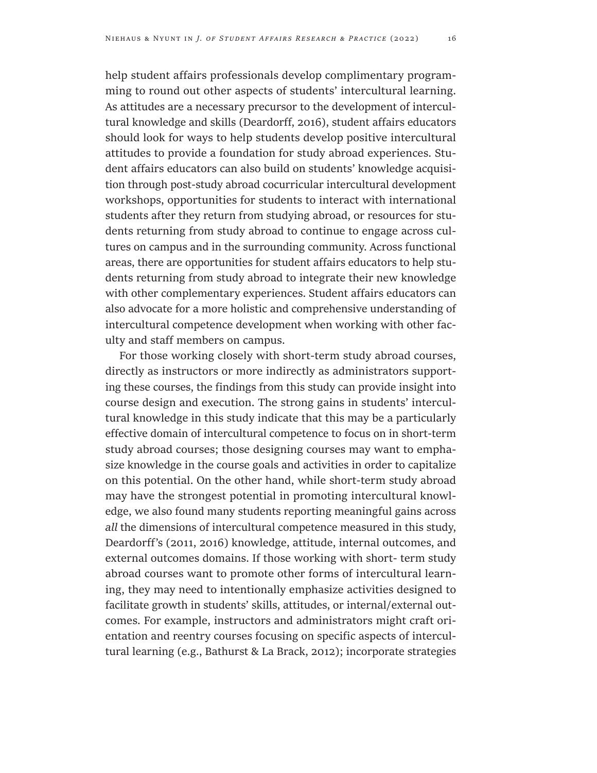help student affairs professionals develop complimentary programming to round out other aspects of students' intercultural learning. As attitudes are a necessary precursor to the development of intercultural knowledge and skills (Deardorff, 2016), student affairs educators should look for ways to help students develop positive intercultural attitudes to provide a foundation for study abroad experiences. Student affairs educators can also build on students' knowledge acquisition through post-study abroad cocurricular intercultural development workshops, opportunities for students to interact with international students after they return from studying abroad, or resources for students returning from study abroad to continue to engage across cultures on campus and in the surrounding community. Across functional areas, there are opportunities for student affairs educators to help students returning from study abroad to integrate their new knowledge with other complementary experiences. Student affairs educators can also advocate for a more holistic and comprehensive understanding of intercultural competence development when working with other faculty and staff members on campus.

For those working closely with short-term study abroad courses, directly as instructors or more indirectly as administrators supporting these courses, the findings from this study can provide insight into course design and execution. The strong gains in students' intercultural knowledge in this study indicate that this may be a particularly effective domain of intercultural competence to focus on in short-term study abroad courses; those designing courses may want to emphasize knowledge in the course goals and activities in order to capitalize on this potential. On the other hand, while short-term study abroad may have the strongest potential in promoting intercultural knowledge, we also found many students reporting meaningful gains across *all* the dimensions of intercultural competence measured in this study, Deardorff's (2011, 2016) knowledge, attitude, internal outcomes, and external outcomes domains. If those working with short- term study abroad courses want to promote other forms of intercultural learning, they may need to intentionally emphasize activities designed to facilitate growth in students' skills, attitudes, or internal/external outcomes. For example, instructors and administrators might craft orientation and reentry courses focusing on specific aspects of intercultural learning (e.g., Bathurst & La Brack, 2012); incorporate strategies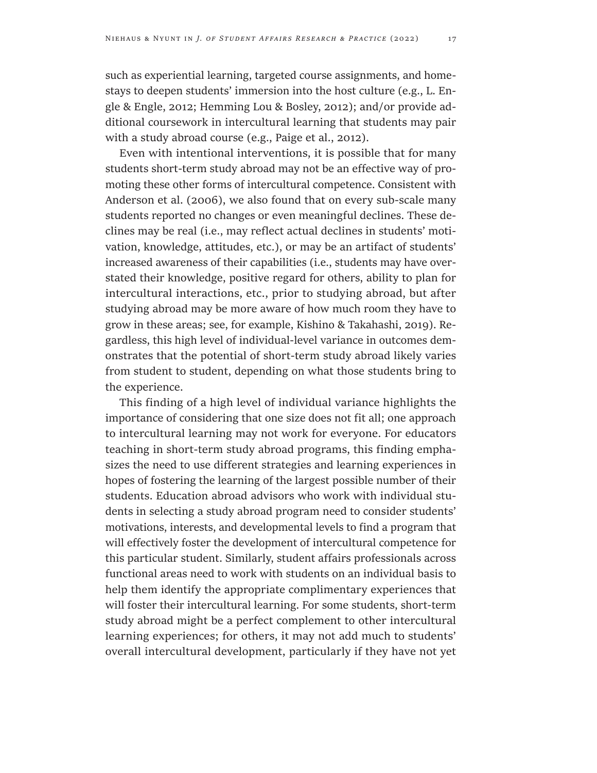such as experiential learning, targeted course assignments, and homestays to deepen students' immersion into the host culture (e.g., L. Engle & Engle, 2012; Hemming Lou & Bosley, 2012); and/or provide additional coursework in intercultural learning that students may pair with a study abroad course (e.g., Paige et al., 2012).

Even with intentional interventions, it is possible that for many students short-term study abroad may not be an effective way of promoting these other forms of intercultural competence. Consistent with Anderson et al. (2006), we also found that on every sub-scale many students reported no changes or even meaningful declines. These declines may be real (i.e., may reflect actual declines in students' motivation, knowledge, attitudes, etc.), or may be an artifact of students' increased awareness of their capabilities (i.e., students may have overstated their knowledge, positive regard for others, ability to plan for intercultural interactions, etc., prior to studying abroad, but after studying abroad may be more aware of how much room they have to grow in these areas; see, for example, Kishino & Takahashi, 2019). Regardless, this high level of individual-level variance in outcomes demonstrates that the potential of short-term study abroad likely varies from student to student, depending on what those students bring to the experience.

This finding of a high level of individual variance highlights the importance of considering that one size does not fit all; one approach to intercultural learning may not work for everyone. For educators teaching in short-term study abroad programs, this finding emphasizes the need to use different strategies and learning experiences in hopes of fostering the learning of the largest possible number of their students. Education abroad advisors who work with individual students in selecting a study abroad program need to consider students' motivations, interests, and developmental levels to find a program that will effectively foster the development of intercultural competence for this particular student. Similarly, student affairs professionals across functional areas need to work with students on an individual basis to help them identify the appropriate complimentary experiences that will foster their intercultural learning. For some students, short-term study abroad might be a perfect complement to other intercultural learning experiences; for others, it may not add much to students' overall intercultural development, particularly if they have not yet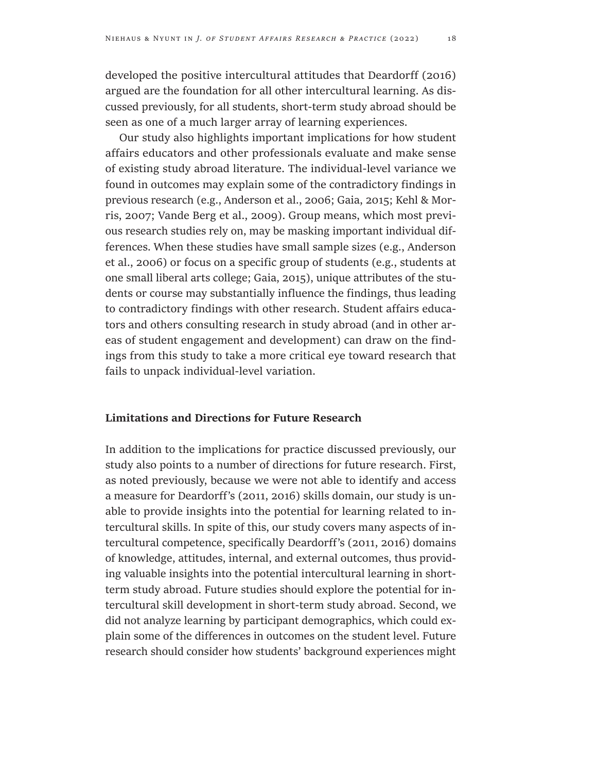developed the positive intercultural attitudes that Deardorff (2016) argued are the foundation for all other intercultural learning. As discussed previously, for all students, short-term study abroad should be seen as one of a much larger array of learning experiences.

Our study also highlights important implications for how student affairs educators and other professionals evaluate and make sense of existing study abroad literature. The individual-level variance we found in outcomes may explain some of the contradictory findings in previous research (e.g., Anderson et al., 2006; Gaia, 2015; Kehl & Morris, 2007; Vande Berg et al., 2009). Group means, which most previous research studies rely on, may be masking important individual differences. When these studies have small sample sizes (e.g., Anderson et al., 2006) or focus on a specific group of students (e.g., students at one small liberal arts college; Gaia, 2015), unique attributes of the students or course may substantially influence the findings, thus leading to contradictory findings with other research. Student affairs educators and others consulting research in study abroad (and in other areas of student engagement and development) can draw on the findings from this study to take a more critical eye toward research that fails to unpack individual-level variation.

#### **Limitations and Directions for Future Research**

In addition to the implications for practice discussed previously, our study also points to a number of directions for future research. First, as noted previously, because we were not able to identify and access a measure for Deardorff's (2011, 2016) skills domain, our study is unable to provide insights into the potential for learning related to intercultural skills. In spite of this, our study covers many aspects of intercultural competence, specifically Deardorff's (2011, 2016) domains of knowledge, attitudes, internal, and external outcomes, thus providing valuable insights into the potential intercultural learning in shortterm study abroad. Future studies should explore the potential for intercultural skill development in short-term study abroad. Second, we did not analyze learning by participant demographics, which could explain some of the differences in outcomes on the student level. Future research should consider how students' background experiences might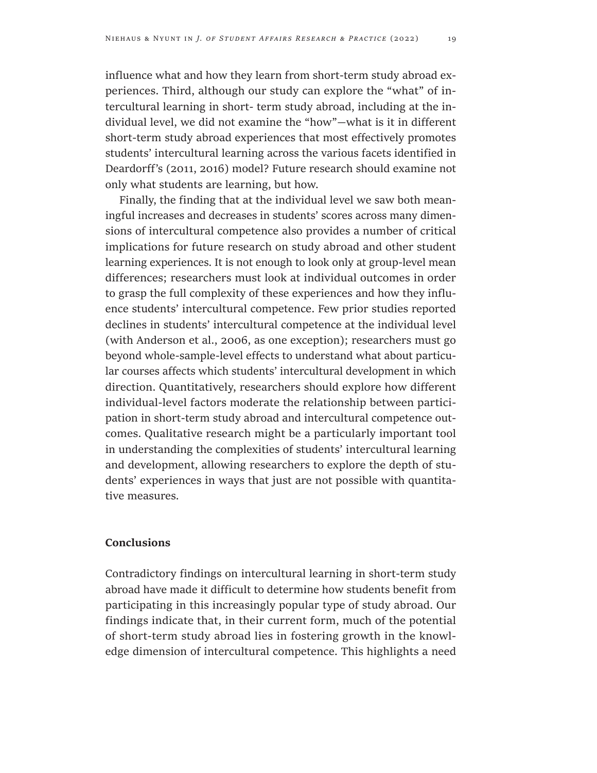influence what and how they learn from short-term study abroad experiences. Third, although our study can explore the "what" of intercultural learning in short- term study abroad, including at the individual level, we did not examine the "how"—what is it in different short-term study abroad experiences that most effectively promotes students' intercultural learning across the various facets identified in Deardorff's (2011, 2016) model? Future research should examine not only what students are learning, but how.

Finally, the finding that at the individual level we saw both meaningful increases and decreases in students' scores across many dimensions of intercultural competence also provides a number of critical implications for future research on study abroad and other student learning experiences. It is not enough to look only at group-level mean differences; researchers must look at individual outcomes in order to grasp the full complexity of these experiences and how they influence students' intercultural competence. Few prior studies reported declines in students' intercultural competence at the individual level (with Anderson et al., 2006, as one exception); researchers must go beyond whole-sample-level effects to understand what about particular courses affects which students' intercultural development in which direction. Quantitatively, researchers should explore how different individual-level factors moderate the relationship between participation in short-term study abroad and intercultural competence outcomes. Qualitative research might be a particularly important tool in understanding the complexities of students' intercultural learning and development, allowing researchers to explore the depth of students' experiences in ways that just are not possible with quantitative measures.

#### **Conclusions**

Contradictory findings on intercultural learning in short-term study abroad have made it difficult to determine how students benefit from participating in this increasingly popular type of study abroad. Our findings indicate that, in their current form, much of the potential of short-term study abroad lies in fostering growth in the knowledge dimension of intercultural competence. This highlights a need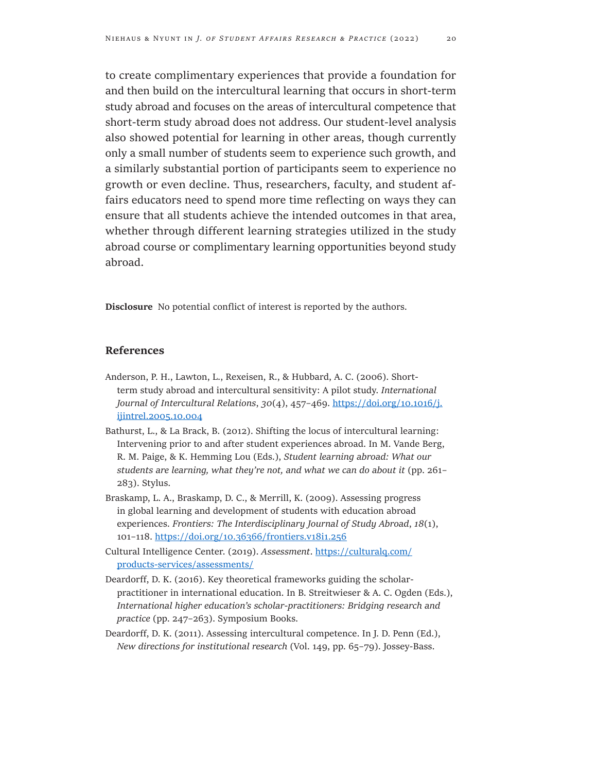to create complimentary experiences that provide a foundation for and then build on the intercultural learning that occurs in short-term study abroad and focuses on the areas of intercultural competence that short-term study abroad does not address. Our student-level analysis also showed potential for learning in other areas, though currently only a small number of students seem to experience such growth, and a similarly substantial portion of participants seem to experience no growth or even decline. Thus, researchers, faculty, and student affairs educators need to spend more time reflecting on ways they can ensure that all students achieve the intended outcomes in that area, whether through different learning strategies utilized in the study abroad course or complimentary learning opportunities beyond study abroad.

**Disclosure** No potential conflict of interest is reported by the authors.

#### **References**

- Anderson, P. H., Lawton, L., Rexeisen, R., & Hubbard, A. C. (2006). Shortterm study abroad and intercultural sensitivity: A pilot study. *International Journal of Intercultural Relations*, *30*(4), 457–469. [https://doi.org/10.1016/j.](https://doi.org/10.1016/j.ijintrel.2005.10.004) [ijintrel.2005.10.004](https://doi.org/10.1016/j.ijintrel.2005.10.004)
- Bathurst, L., & La Brack, B. (2012). Shifting the locus of intercultural learning: Intervening prior to and after student experiences abroad. In M. Vande Berg, R. M. Paige, & K. Hemming Lou (Eds.), *Student learning abroad: What our students are learning, what they're not, and what we can do about it* (pp. 261– 283). Stylus.
- Braskamp, L. A., Braskamp, D. C., & Merrill, K. (2009). Assessing progress in global learning and development of students with education abroad experiences. *Frontiers: The Interdisciplinary Journal of Study Abroad*, *18*(1), 101–118.<https://doi.org/10.36366/frontiers.v18i1.256>
- Cultural Intelligence Center. (2019). *Assessment*. [https://culturalq.com/](https://culturalq.com/products-services/assessments/) [products-services/assessments/](https://culturalq.com/products-services/assessments/)
- Deardorff, D. K. (2016). Key theoretical frameworks guiding the scholarpractitioner in international education. In B. Streitwieser & A. C. Ogden (Eds.), *International higher education's scholar-practitioners: Bridging research and practice* (pp. 247–263). Symposium Books.
- Deardorff, D. K. (2011). Assessing intercultural competence. In J. D. Penn (Ed.), *New directions for institutional research* (Vol. 149, pp. 65–79). Jossey-Bass.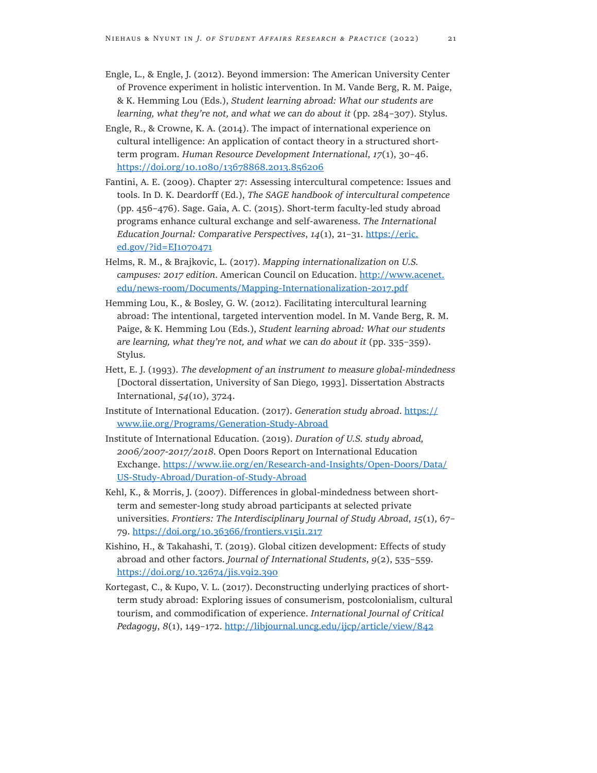- Engle, L., & Engle, J. (2012). Beyond immersion: The American University Center of Provence experiment in holistic intervention. In M. Vande Berg, R. M. Paige, & K. Hemming Lou (Eds.), *Student learning abroad: What our students are*  learning, what they're not, and what we can do about it (pp. 284–307). Stylus.
- Engle, R., & Crowne, K. A. (2014). The impact of international experience on cultural intelligence: An application of contact theory in a structured shortterm program. *Human Resource Development International*, *17*(1), 30–46. <https://doi.org/10.1080/13678868.2013.856206>
- Fantini, A. E. (2009). Chapter 27: Assessing intercultural competence: Issues and tools. In D. K. Deardorff (Ed.), *The SAGE handbook of intercultural competence*  (pp. 456–476). Sage. Gaia, A. C. (2015). Short-term faculty-led study abroad programs enhance cultural exchange and self-awareness. *The International Education Journal: Comparative Perspectives*, *14*(1), 21–31. [https://eric.](https://eric.ed.gov/?id=EJ1070471) [ed.gov/?id=EJ1070471](https://eric.ed.gov/?id=EJ1070471)
- Helms, R. M., & Brajkovic, L. (2017). *Mapping internationalization on U.S. campuses: 2017 edition*. American Council on Education. [http://www.acenet.](http://www.acenet.edu/news-room/Documents/Mapping-Internationalization-2017.pdf) [edu/news-room/Documents/Mapping-Internationalization-2017.pdf](http://www.acenet.edu/news-room/Documents/Mapping-Internationalization-2017.pdf)
- Hemming Lou, K., & Bosley, G. W. (2012). Facilitating intercultural learning abroad: The intentional, targeted intervention model. In M. Vande Berg, R. M. Paige, & K. Hemming Lou (Eds.), *Student learning abroad: What our students are learning, what they're not, and what we can do about it* (pp. 335–359). Stylus.
- Hett, E. J. (1993). *The development of an instrument to measure global-mindedness*  [Doctoral dissertation, University of San Diego, 1993]. Dissertation Abstracts International, *54*(10), 3724.
- Institute of International Education. (2017). *Generation study abroad*. [https://](https://www.iie.org/Programs/Generation-Study-Abroad) [www.iie.org/Programs/Generation-Study-Abroad](https://www.iie.org/Programs/Generation-Study-Abroad)
- Institute of International Education. (2019). *Duration of U.S. study abroad, 2006/2007-2017/2018*. Open Doors Report on International Education Exchange. [https://www.iie.org/en/Research-and-Insights/Open-Doors/Data/](https://www.iie.org/en/Research-and-Insights/Open-Doors/Data/US-Study-Abroad/Duration-of-Study-Abroad) [US-Study-Abroad/Duration-of-Study-Abroad](https://www.iie.org/en/Research-and-Insights/Open-Doors/Data/US-Study-Abroad/Duration-of-Study-Abroad)
- Kehl, K., & Morris, J. (2007). Differences in global-mindedness between shortterm and semester-long study abroad participants at selected private universities. *Frontiers: The Interdisciplinary Journal of Study Abroad*, *15*(1), 67– 79.<https://doi.org/10.36366/frontiers.v15i1.217>
- Kishino, H., & Takahashi, T. (2019). Global citizen development: Effects of study abroad and other factors. *Journal of International Students*, *9*(2), 535–559. <https://doi.org/10.32674/jis.v9i2.390>
- Kortegast, C., & Kupo, V. L. (2017). Deconstructing underlying practices of shortterm study abroad: Exploring issues of consumerism, postcolonialism, cultural tourism, and commodification of experience. *International Journal of Critical Pedagogy*, *8*(1), 149–172. <http://libjournal.uncg.edu/ijcp/article/view/842>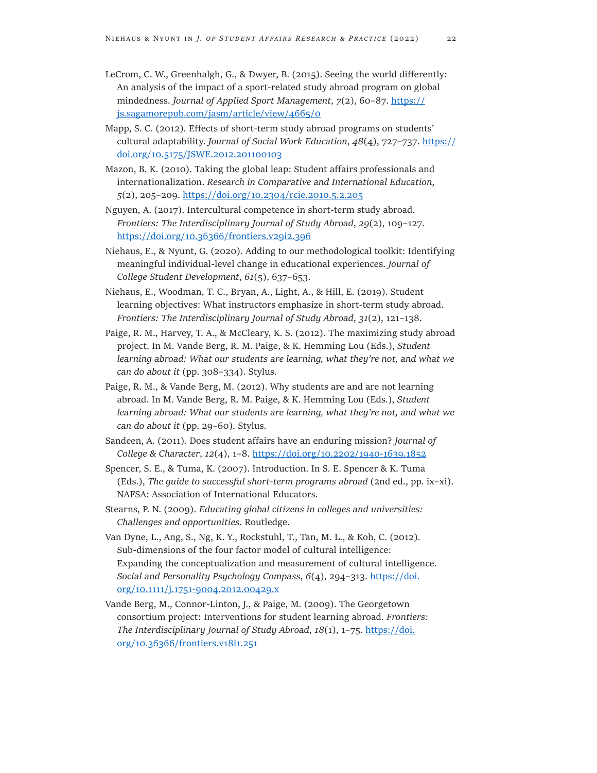- LeCrom, C. W., Greenhalgh, G., & Dwyer, B. (2015). Seeing the world differently: An analysis of the impact of a sport-related study abroad program on global mindedness. *Journal of Applied Sport Management*, *7*(2), 60–87. [https://](https://js.sagamorepub.com/jasm/article/view/4665/0) [js.sagamorepub.com/jasm/article/view/4665/0](https://js.sagamorepub.com/jasm/article/view/4665/0)
- Mapp, S. C. (2012). Effects of short-term study abroad programs on students' cultural adaptability. *Journal of Social Work Education*, *48*(4), 727–737. [https://](https://doi.org/10.5175/JSWE.2012.201100103) [doi.org/10.5175/JSWE.2012.201100103](https://doi.org/10.5175/JSWE.2012.201100103)
- Mazon, B. K. (2010). Taking the global leap: Student affairs professionals and internationalization. *Research in Comparative and International Education*, *5*(2), 205–209. <https://doi.org/10.2304/rcie.2010.5.2.205>
- Nguyen, A. (2017). Intercultural competence in short-term study abroad. *Frontiers: The Interdisciplinary Journal of Study Abroad*, *29*(2), 109–127. <https://doi.org/10.36366/frontiers.v29i2.396>
- Niehaus, E., & Nyunt, G. (2020). Adding to our methodological toolkit: Identifying meaningful individual-level change in educational experiences. *Journal of College Student Development*, *61*(5), 637–653.
- Niehaus, E., Woodman, T. C., Bryan, A., Light, A., & Hill, E. (2019). Student learning objectives: What instructors emphasize in short-term study abroad. *Frontiers: The Interdisciplinary Journal of Study Abroad*, *31*(2), 121–138.
- Paige, R. M., Harvey, T. A., & McCleary, K. S. (2012). The maximizing study abroad project. In M. Vande Berg, R. M. Paige, & K. Hemming Lou (Eds.), *Student learning abroad: What our students are learning, what they're not, and what we can do about it* (pp. 308–334). Stylus.
- Paige, R. M., & Vande Berg, M. (2012). Why students are and are not learning abroad. In M. Vande Berg, R. M. Paige, & K. Hemming Lou (Eds.), *Student learning abroad: What our students are learning, what they're not, and what we can do about it* (pp. 29–60). Stylus.
- Sandeen, A. (2011). Does student affairs have an enduring mission? *Journal of College & Character*, *12*(4), 1–8.<https://doi.org/10.2202/1940-1639.1852>
- Spencer, S. E., & Tuma, K. (2007). Introduction. In S. E. Spencer & K. Tuma (Eds.), *The guide to successful short-term programs abroad* (2nd ed., pp. ix–xi). NAFSA: Association of International Educators.
- Stearns, P. N. (2009). *Educating global citizens in colleges and universities: Challenges and opportunities*. Routledge.
- Van Dyne, L., Ang, S., Ng, K. Y., Rockstuhl, T., Tan, M. L., & Koh, C. (2012). Sub-dimensions of the four factor model of cultural intelligence: Expanding the conceptualization and measurement of cultural intelligence. *Social and Personality Psychology Compass*, *6*(4), 294–313. [https://doi.](https://doi.org/10.1111/j.1751-9004.2012.00429.x) [org/10.1111/j.1751-9004.2012.00429.x](https://doi.org/10.1111/j.1751-9004.2012.00429.x)
- Vande Berg, M., Connor-Linton, J., & Paige, M. (2009). The Georgetown consortium project: Interventions for student learning abroad. *Frontiers: The Interdisciplinary Journal of Study Abroad*, *18*(1), 1–75. [https://doi.](https://doi.org/10.36366/frontiers.v18i1.251) [org/10.36366/frontiers.v18i1.251](https://doi.org/10.36366/frontiers.v18i1.251)